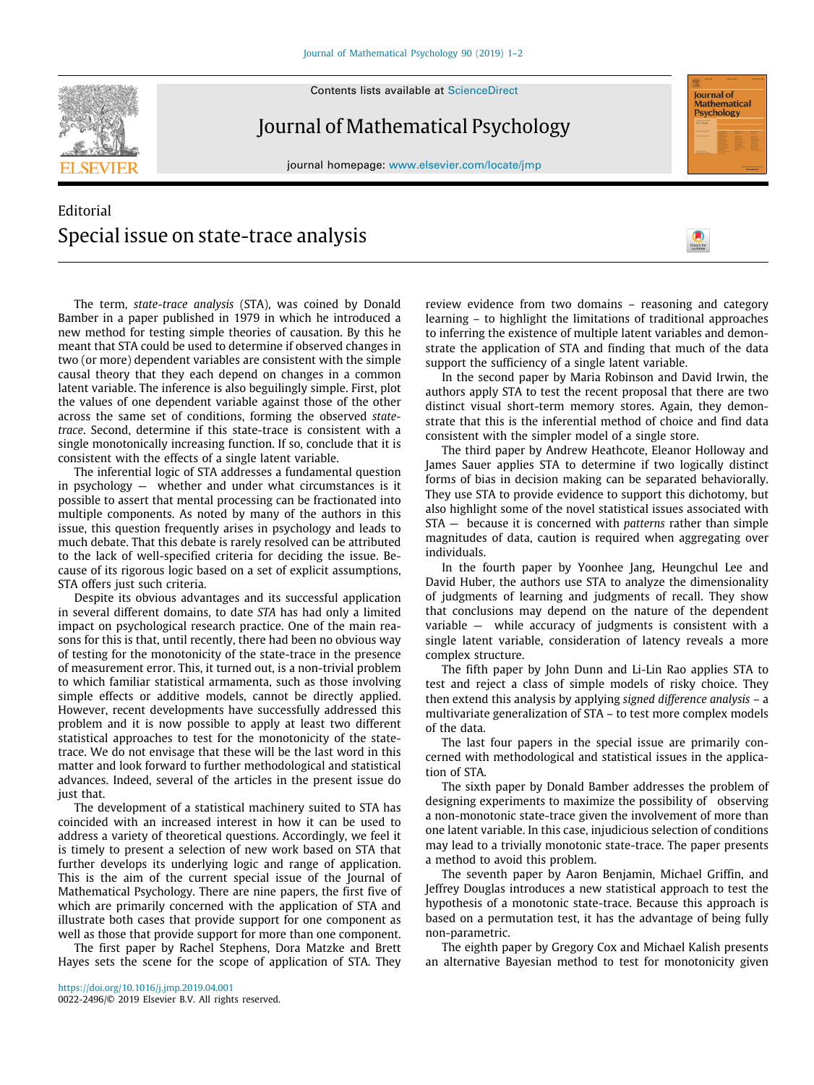**SEVIER** 

Contents lists available at [ScienceDirect](http://www.elsevier.com/locate/jmp)

## Journal of Mathematical Psychology

journal homepage: [www.elsevier.com/locate/jmp](http://www.elsevier.com/locate/jmp)

## Editorial Special issue on state-trace analysis



**lournal of** Mathematical<br>Psychology

The term, *state-trace analysis* (STA), was coined by Donald Bamber in a paper published in 1979 in which he introduced a new method for testing simple theories of causation. By this he meant that STA could be used to determine if observed changes in two (or more) dependent variables are consistent with the simple causal theory that they each depend on changes in a common latent variable. The inference is also beguilingly simple. First, plot the values of one dependent variable against those of the other across the same set of conditions, forming the observed *statetrace*. Second, determine if this state-trace is consistent with a single monotonically increasing function. If so, conclude that it is consistent with the effects of a single latent variable.

The inferential logic of STA addresses a fundamental question in psychology — whether and under what circumstances is it possible to assert that mental processing can be fractionated into multiple components. As noted by many of the authors in this issue, this question frequently arises in psychology and leads to much debate. That this debate is rarely resolved can be attributed to the lack of well-specified criteria for deciding the issue. Because of its rigorous logic based on a set of explicit assumptions, STA offers just such criteria.

Despite its obvious advantages and its successful application in several different domains, to date *STA* has had only a limited impact on psychological research practice. One of the main reasons for this is that, until recently, there had been no obvious way of testing for the monotonicity of the state-trace in the presence of measurement error. This, it turned out, is a non-trivial problem to which familiar statistical armamenta, such as those involving simple effects or additive models, cannot be directly applied. However, recent developments have successfully addressed this problem and it is now possible to apply at least two different statistical approaches to test for the monotonicity of the statetrace. We do not envisage that these will be the last word in this matter and look forward to further methodological and statistical advances. Indeed, several of the articles in the present issue do just that.

The development of a statistical machinery suited to STA has coincided with an increased interest in how it can be used to address a variety of theoretical questions. Accordingly, we feel it is timely to present a selection of new work based on STA that further develops its underlying logic and range of application. This is the aim of the current special issue of the Journal of Mathematical Psychology. There are nine papers, the first five of which are primarily concerned with the application of STA and illustrate both cases that provide support for one component as well as those that provide support for more than one component.

The first paper by Rachel Stephens, Dora Matzke and Brett Hayes sets the scene for the scope of application of STA. They

review evidence from two domains – reasoning and category learning – to highlight the limitations of traditional approaches to inferring the existence of multiple latent variables and demonstrate the application of STA and finding that much of the data support the sufficiency of a single latent variable.

In the second paper by Maria Robinson and David Irwin, the authors apply STA to test the recent proposal that there are two distinct visual short-term memory stores. Again, they demonstrate that this is the inferential method of choice and find data consistent with the simpler model of a single store.

The third paper by Andrew Heathcote, Eleanor Holloway and James Sauer applies STA to determine if two logically distinct forms of bias in decision making can be separated behaviorally. They use STA to provide evidence to support this dichotomy, but also highlight some of the novel statistical issues associated with STA — because it is concerned with *patterns* rather than simple magnitudes of data, caution is required when aggregating over individuals.

In the fourth paper by Yoonhee Jang, Heungchul Lee and David Huber, the authors use STA to analyze the dimensionality of judgments of learning and judgments of recall. They show that conclusions may depend on the nature of the dependent variable — while accuracy of judgments is consistent with a single latent variable, consideration of latency reveals a more complex structure.

The fifth paper by John Dunn and Li-Lin Rao applies STA to test and reject a class of simple models of risky choice. They then extend this analysis by applying *signed difference analysis* – a multivariate generalization of STA – to test more complex models of the data.

The last four papers in the special issue are primarily concerned with methodological and statistical issues in the application of STA.

The sixth paper by Donald Bamber addresses the problem of designing experiments to maximize the possibility of observing a non-monotonic state-trace given the involvement of more than one latent variable. In this case, injudicious selection of conditions may lead to a trivially monotonic state-trace. The paper presents a method to avoid this problem.

The seventh paper by Aaron Benjamin, Michael Griffin, and Jeffrey Douglas introduces a new statistical approach to test the hypothesis of a monotonic state-trace. Because this approach is based on a permutation test, it has the advantage of being fully non-parametric.

The eighth paper by Gregory Cox and Michael Kalish presents an alternative Bayesian method to test for monotonicity given